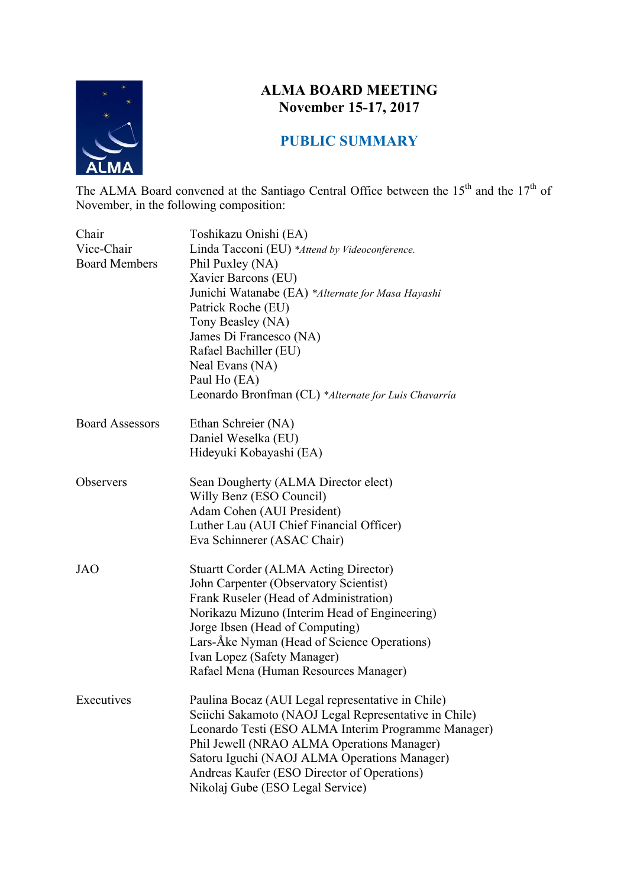

## **ALMA BOARD MEETING November 15-17, 2017**

# **PUBLIC SUMMARY**

The ALMA Board convened at the Santiago Central Office between the  $15<sup>th</sup>$  and the  $17<sup>th</sup>$  of November, in the following composition:

| Chair<br>Vice-Chair<br><b>Board Members</b> | Toshikazu Onishi (EA)<br>Linda Tacconi (EU) *Attend by Videoconference.<br>Phil Puxley (NA)<br>Xavier Barcons (EU)<br>Junichi Watanabe (EA) *Alternate for Masa Hayashi<br>Patrick Roche (EU)<br>Tony Beasley (NA)<br>James Di Francesco (NA)<br>Rafael Bachiller (EU)<br>Neal Evans (NA)<br>Paul Ho (EA)<br>Leonardo Bronfman (CL) *Alternate for Luis Chavarría |
|---------------------------------------------|-------------------------------------------------------------------------------------------------------------------------------------------------------------------------------------------------------------------------------------------------------------------------------------------------------------------------------------------------------------------|
| <b>Board Assessors</b>                      | Ethan Schreier (NA)<br>Daniel Weselka (EU)<br>Hideyuki Kobayashi (EA)                                                                                                                                                                                                                                                                                             |
| Observers                                   | Sean Dougherty (ALMA Director elect)<br>Willy Benz (ESO Council)<br>Adam Cohen (AUI President)<br>Luther Lau (AUI Chief Financial Officer)<br>Eva Schinnerer (ASAC Chair)                                                                                                                                                                                         |
| <b>JAO</b>                                  | <b>Stuartt Corder (ALMA Acting Director)</b><br>John Carpenter (Observatory Scientist)<br>Frank Ruseler (Head of Administration)<br>Norikazu Mizuno (Interim Head of Engineering)<br>Jorge Ibsen (Head of Computing)<br>Lars-Åke Nyman (Head of Science Operations)<br>Ivan Lopez (Safety Manager)<br>Rafael Mena (Human Resources Manager)                       |
| Executives                                  | Paulina Bocaz (AUI Legal representative in Chile)<br>Seiichi Sakamoto (NAOJ Legal Representative in Chile)<br>Leonardo Testi (ESO ALMA Interim Programme Manager)<br>Phil Jewell (NRAO ALMA Operations Manager)<br>Satoru Iguchi (NAOJ ALMA Operations Manager)<br>Andreas Kaufer (ESO Director of Operations)<br>Nikolaj Gube (ESO Legal Service)                |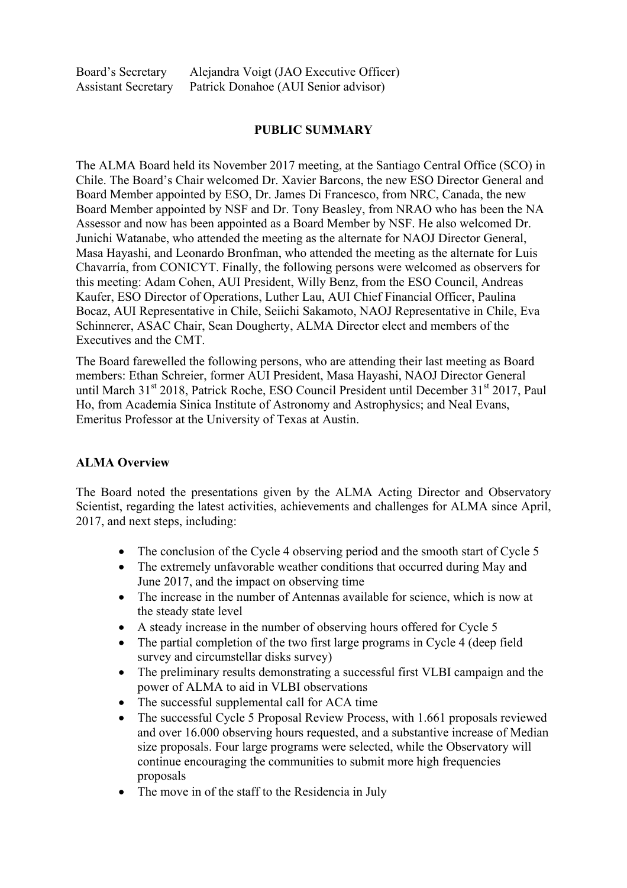#### **PUBLIC SUMMARY**

The ALMA Board held its November 2017 meeting, at the Santiago Central Office (SCO) in Chile. The Board's Chair welcomed Dr. Xavier Barcons, the new ESO Director General and Board Member appointed by ESO, Dr. James Di Francesco, from NRC, Canada, the new Board Member appointed by NSF and Dr. Tony Beasley, from NRAO who has been the NA Assessor and now has been appointed as a Board Member by NSF. He also welcomed Dr. Junichi Watanabe, who attended the meeting as the alternate for NAOJ Director General, Masa Hayashi, and Leonardo Bronfman, who attended the meeting as the alternate for Luis Chavarría, from CONICYT. Finally, the following persons were welcomed as observers for this meeting: Adam Cohen, AUI President, Willy Benz, from the ESO Council, Andreas Kaufer, ESO Director of Operations, Luther Lau, AUI Chief Financial Officer, Paulina Bocaz, AUI Representative in Chile, Seiichi Sakamoto, NAOJ Representative in Chile, Eva Schinnerer, ASAC Chair, Sean Dougherty, ALMA Director elect and members of the Executives and the CMT.

The Board farewelled the following persons, who are attending their last meeting as Board members: Ethan Schreier, former AUI President, Masa Hayashi, NAOJ Director General until March 31<sup>st</sup> 2018, Patrick Roche, ESO Council President until December 31<sup>st</sup> 2017, Paul Ho, from Academia Sinica Institute of Astronomy and Astrophysics; and Neal Evans, Emeritus Professor at the University of Texas at Austin.

#### **ALMA Overview**

The Board noted the presentations given by the ALMA Acting Director and Observatory Scientist, regarding the latest activities, achievements and challenges for ALMA since April, 2017, and next steps, including:

- The conclusion of the Cycle 4 observing period and the smooth start of Cycle 5
- The extremely unfavorable weather conditions that occurred during May and June 2017, and the impact on observing time
- The increase in the number of Antennas available for science, which is now at the steady state level
- A steady increase in the number of observing hours offered for Cycle 5
- The partial completion of the two first large programs in Cycle 4 (deep field survey and circumstellar disks survey)
- The preliminary results demonstrating a successful first VLBI campaign and the power of ALMA to aid in VLBI observations
- The successful supplemental call for ACA time
- The successful Cycle 5 Proposal Review Process, with 1.661 proposals reviewed and over 16.000 observing hours requested, and a substantive increase of Median size proposals. Four large programs were selected, while the Observatory will continue encouraging the communities to submit more high frequencies proposals
- The move in of the staff to the Residencia in July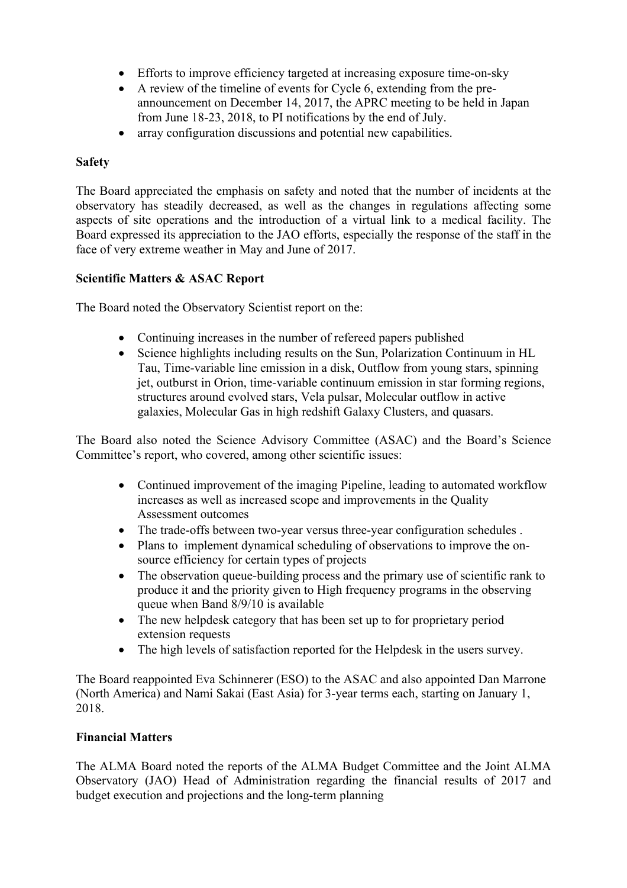- Efforts to improve efficiency targeted at increasing exposure time-on-sky
- A review of the timeline of events for Cycle 6, extending from the preannouncement on December 14, 2017, the APRC meeting to be held in Japan from June 18-23, 2018, to PI notifications by the end of July.
- array configuration discussions and potential new capabilities.

#### **Safety**

The Board appreciated the emphasis on safety and noted that the number of incidents at the observatory has steadily decreased, as well as the changes in regulations affecting some aspects of site operations and the introduction of a virtual link to a medical facility. The Board expressed its appreciation to the JAO efforts, especially the response of the staff in the face of very extreme weather in May and June of 2017.

#### **Scientific Matters & ASAC Report**

The Board noted the Observatory Scientist report on the:

- Continuing increases in the number of refereed papers published
- Science highlights including results on the Sun, Polarization Continuum in HL Tau, Time-variable line emission in a disk, Outflow from young stars, spinning jet, outburst in Orion, time-variable continuum emission in star forming regions, structures around evolved stars, Vela pulsar, Molecular outflow in active galaxies, Molecular Gas in high redshift Galaxy Clusters, and quasars.

The Board also noted the Science Advisory Committee (ASAC) and the Board's Science Committee's report, who covered, among other scientific issues:

- Continued improvement of the imaging Pipeline, leading to automated workflow increases as well as increased scope and improvements in the Quality Assessment outcomes
- The trade-offs between two-year versus three-year configuration schedules .
- Plans to implement dynamical scheduling of observations to improve the onsource efficiency for certain types of projects
- The observation queue-building process and the primary use of scientific rank to produce it and the priority given to High frequency programs in the observing queue when Band 8/9/10 is available
- The new helpdesk category that has been set up to for proprietary period extension requests
- The high levels of satisfaction reported for the Helpdesk in the users survey.

The Board reappointed Eva Schinnerer (ESO) to the ASAC and also appointed Dan Marrone (North America) and Nami Sakai (East Asia) for 3-year terms each, starting on January 1, 2018.

#### **Financial Matters**

The ALMA Board noted the reports of the ALMA Budget Committee and the Joint ALMA Observatory (JAO) Head of Administration regarding the financial results of 2017 and budget execution and projections and the long-term planning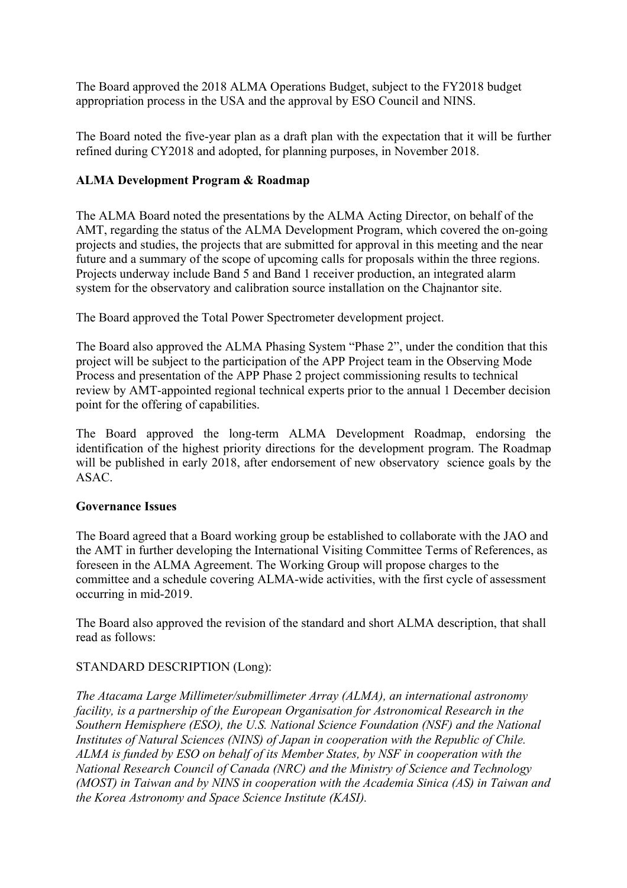The Board approved the 2018 ALMA Operations Budget, subject to the FY2018 budget appropriation process in the USA and the approval by ESO Council and NINS.

The Board noted the five-year plan as a draft plan with the expectation that it will be further refined during CY2018 and adopted, for planning purposes, in November 2018.

#### **ALMA Development Program & Roadmap**

The ALMA Board noted the presentations by the ALMA Acting Director, on behalf of the AMT, regarding the status of the ALMA Development Program, which covered the on-going projects and studies, the projects that are submitted for approval in this meeting and the near future and a summary of the scope of upcoming calls for proposals within the three regions. Projects underway include Band 5 and Band 1 receiver production, an integrated alarm system for the observatory and calibration source installation on the Chajnantor site.

The Board approved the Total Power Spectrometer development project.

The Board also approved the ALMA Phasing System "Phase 2", under the condition that this project will be subject to the participation of the APP Project team in the Observing Mode Process and presentation of the APP Phase 2 project commissioning results to technical review by AMT-appointed regional technical experts prior to the annual 1 December decision point for the offering of capabilities.

The Board approved the long-term ALMA Development Roadmap, endorsing the identification of the highest priority directions for the development program. The Roadmap will be published in early 2018, after endorsement of new observatory science goals by the ASAC.

#### **Governance Issues**

The Board agreed that a Board working group be established to collaborate with the JAO and the AMT in further developing the International Visiting Committee Terms of References, as foreseen in the ALMA Agreement. The Working Group will propose charges to the committee and a schedule covering ALMA-wide activities, with the first cycle of assessment occurring in mid-2019.

The Board also approved the revision of the standard and short ALMA description, that shall read as follows:

#### STANDARD DESCRIPTION (Long):

*The Atacama Large Millimeter/submillimeter Array (ALMA), an international astronomy facility, is a partnership of the European Organisation for Astronomical Research in the Southern Hemisphere (ESO), the U.S. National Science Foundation (NSF) and the National Institutes of Natural Sciences (NINS) of Japan in cooperation with the Republic of Chile. ALMA is funded by ESO on behalf of its Member States, by NSF in cooperation with the National Research Council of Canada (NRC) and the Ministry of Science and Technology (MOST) in Taiwan and by NINS in cooperation with the Academia Sinica (AS) in Taiwan and the Korea Astronomy and Space Science Institute (KASI).*